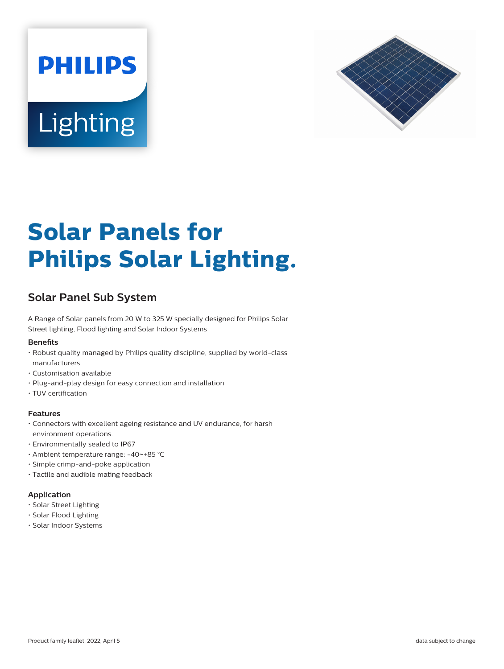



# **Solar Panels for Philips Solar Lighting.**

# **Solar Panel Sub System**

A Range of Solar panels from 20 W to 325 W specially designed for Philips Solar Street lighting, Flood lighting and Solar Indoor Systems

## **Benets**

- Robust quality managed by Philips quality discipline, supplied by world-class manufacturers
- Customisation available
- Plug-and-play design for easy connection and installation
- TUV certification

## **Features**

- Connectors with excellent ageing resistance and UV endurance, for harsh environment operations.
- Environmentally sealed to IP67
- Ambient temperature range: -40~+85 °C
- Simple crimp-and-poke application
- Tactile and audible mating feedback

## **Application**

- Solar Street Lighting
- Solar Flood Lighting
- Solar Indoor Systems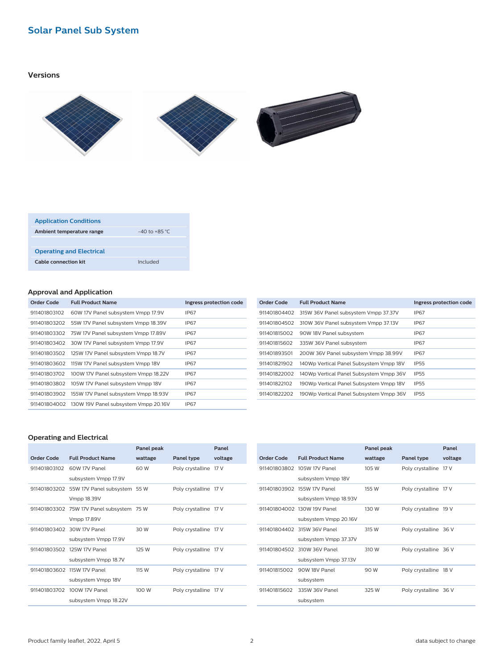# **Solar Panel Sub System**

## **Versions**



| <b>Application Conditions</b>   |                   |
|---------------------------------|-------------------|
| Ambient temperature range       | $-40$ to $+85$ °C |
|                                 |                   |
| <b>Operating and Electrical</b> |                   |
| <b>Cable connection kit</b>     | Included          |

## **Approval and Application**

| Order Code   | <b>Full Product Name</b>                          | Ingress protection code |
|--------------|---------------------------------------------------|-------------------------|
| 911401803102 | 60W 17V Panel subsystem Vmpp 17.9V                | IP67                    |
| 911401803202 | 55W 17V Panel subsystem Vmpp 18.39V               | IP67                    |
| 911401803302 | 75W 17V Panel subsystem Vmpp 17.89V               | IP67                    |
| 911401803402 | 30W 17V Panel subsystem Vmpp 17.9V                | IP67                    |
| 911401803502 | 125W 17V Panel subsystem Vmpp 18.7V               | IP67                    |
| 911401803602 | 115W 17V Panel subsystem Vmpp 18V                 | IP67                    |
| 911401803702 | 100W 17V Panel subsystem Vmpp 18.22V              | IP67                    |
| 911401803802 | 105W 17V Panel subsystem Vmpp 18V                 | IP67                    |
|              | 911401803902 155W 17V Panel subsystem Vmpp 18.93V | IP67                    |
|              | 911401804002 130W 19V Panel subsystem Vmpp 20.16V | IP67                    |

| Order Code   | <b>Full Product Name</b>                | Ingress protection code |
|--------------|-----------------------------------------|-------------------------|
| 911401804402 | 315W 36V Panel subsystem Vmpp 37.37V    | IP67                    |
| 911401804502 | 310W 36V Panel subsystem Vmpp 37.13V    | IP67                    |
| 911401815002 | 90W 18V Panel subsystem                 | IP67                    |
| 911401815602 | 335W 36V Panel subsystem                | IP67                    |
| 911401893501 | 200W 36V Panel subsystem Vmpp 38.99V    | IP67                    |
| 911401821902 | 140Wp Vertical Panel Subsystem Vmpp 18V | IP <sub>55</sub>        |
| 911401822002 | 140Wp Vertical Panel Subsystem Vmpp 36V | IP <sub>55</sub>        |
| 911401822102 | 190Wp Vertical Panel Subsystem Vmpp 18V | IP <sub>55</sub>        |
| 911401822202 | 190Wp Vertical Panel Subsystem Vmpp 36V | <b>IP55</b>             |
|              |                                         |                         |

# **Operating and Electrical**

|              |                                           | Panel peak |                       | Panel   |
|--------------|-------------------------------------------|------------|-----------------------|---------|
| Order Code   | <b>Full Product Name</b>                  | wattage    | Panel type            | voltage |
| 911401803102 | 60W 17V Panel                             | 60 W       | Poly crystalline 17 V |         |
|              | subsystem Vmpp 17.9V                      |            |                       |         |
|              | 911401803202 55W 17V Panel subsystem 55 W |            | Poly crystalline 17 V |         |
|              | Vmpp 18.39V                               |            |                       |         |
|              | 911401803302 75W 17V Panel subsystem 75 W |            | Poly crystalline 17 V |         |
|              | Vmpp 17.89V                               |            |                       |         |
|              | 911401803402 30W 17V Panel                | 30 W       | Poly crystalline 17 V |         |
|              | subsystem Vmpp 17.9V                      |            |                       |         |
|              | 911401803502 125W 17V Panel               | 125 W      | Poly crystalline 17 V |         |
|              | subsystem Vmpp 18.7V                      |            |                       |         |
|              | 911401803602 115W 17V Panel               | 115 W      | Poly crystalline 17 V |         |
|              | subsystem Vmpp 18V                        |            |                       |         |
| 911401803702 | 100W 17V Panel                            | 100 W      | Poly crystalline 17 V |         |
|              | subsystem Vmpp 18.22V                     |            |                       |         |

|              |                             | Panel peak |                       | Panel   |
|--------------|-----------------------------|------------|-----------------------|---------|
| Order Code   | <b>Full Product Name</b>    | wattage    | Panel type            | voltage |
| 911401803802 | 105W 17V Panel              | 105 W      | Poly crystalline 17 V |         |
|              | subsystem Vmpp 18V          |            |                       |         |
|              | 911401803902 155W 17V Panel | 155 W      | Poly crystalline 17 V |         |
|              | subsystem Vmpp 18.93V       |            |                       |         |
|              | 911401804002 130W 19V Panel | 130 W      | Poly crystalline 19 V |         |
|              | subsystem Vmpp 20.16V       |            |                       |         |
|              | 911401804402 315W 36V Panel | 315 W      | Poly crystalline 36 V |         |
|              | subsystem Vmpp 37.37V       |            |                       |         |
| 911401804502 | 310W 36V Panel              | 310 W      | Poly crystalline 36 V |         |
|              | subsystem Vmpp 37.13V       |            |                       |         |
| 911401815002 | 90W 18V Panel               | 90 W       | Poly crystalline 18 V |         |
|              | subsystem                   |            |                       |         |
| 911401815602 | 335W 36V Panel              | 325 W      | Poly crystalline 36 V |         |
|              | subsystem                   |            |                       |         |
|              |                             |            |                       |         |